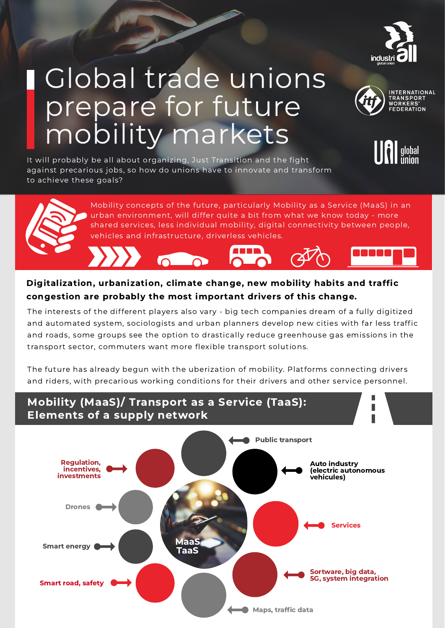

**NTERNATIONAL** WORKFRS **EDERATION** 

## Global trade unions prepare for future mobility markets



It will probably be all about organizing, Just Transition and the fig h t against precarious jobs, so how do unions have to innovate and transform to achieve these goals?





The interests of the different players also vary - big tech companies dream of a fully digitized and automated system, sociologists and urban planners develop new cities with far less traffic and roads, some groups see the option to drastically reduce greenhouse gas emissions in the transport sector, commuters want more flexible transport solutions. Mobility concepts of the future, particularly Mobility as a Service (MaaS) in an urban environment, will differ quite a bit from what we know today - more<br>shared services, less individual mobility, digital connectivity bet Digitalization, urbanization, climate change, new mobility habits and traffic<br>
congestion are probably the most important drivers of this change.<br>
The interests of the different players also vary - big tech companies dream

The future has already begun with the uberization of mobility. Platforms connecting drivers and riders, with precarious working conditions for their drivers and other service personn<sub>'</sub>